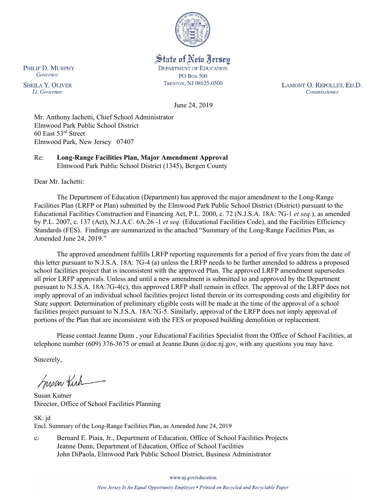

State of New Jersey **DEPARTMENT OF EDUCATION PO Box 500** TRENTON, NJ 08625-0500

LAMONT O. REPOLLET, ED.D. Commissioner

June 24, 2019

Mr. Anthony Iachetti, Chief School Administrator Elmwood Park Public School District 60 East 53rd Street Elmwood Park, New Jersey 07407

Re: **Long-Range Facilities Plan, Major Amendment Approval** Elmwood Park Public School District (1345), Bergen County

Dear Mr. Iachetti:

The Department of Education (Department) has approved the major amendment to the Long-Range Facilities Plan (LRFP or Plan) submitted by the Elmwood Park Public School District (District) pursuant to the Educational Facilities Construction and Financing Act, P.L. 2000, c. 72 (N.J.S.A. 18A: 7G-1 *et seq.*), as amended by P.L. 2007, c. 137 (Act), N.J.A.C. 6A:26 -1 *et seq.* (Educational Facilities Code), and the Facilities Efficiency Standards (FES). Findings are summarized in the attached "Summary of the Long-Range Facilities Plan, as Amended June 24, 2019."

The approved amendment fulfills LRFP reporting requirements for a period of five years from the date of this letter pursuant to N.J.S.A. 18A: 7G-4 (a) unless the LRFP needs to be further amended to address a proposed school facilities project that is inconsistent with the approved Plan. The approved LRFP amendment supersedes all prior LRFP approvals. Unless and until a new amendment is submitted to and approved by the Department pursuant to N.J.S.A. 18A:7G-4(c), this approved LRFP shall remain in effect. The approval of the LRFP does not imply approval of an individual school facilities project listed therein or its corresponding costs and eligibility for State support. Determination of preliminary eligible costs will be made at the time of the approval of a school facilities project pursuant to N.J.S.A. 18A:7G-5. Similarly, approval of the LRFP does not imply approval of portions of the Plan that are inconsistent with the FES or proposed building demolition or replacement.

Please contact Jeanne Dunn , your Educational Facilities Specialist from the Office of School Facilities, at telephone number (609) 376-3675 or email at Jeanne.Dunn @doe.nj.gov, with any questions you may have.

Sincerely,

Susan Kich

Susan Kutner Director, Office of School Facilities Planning

SK: jd Encl. Summary of the Long-Range Facilities Plan, as Amended June 24, 2019

c: Bernard E. Piaia, Jr., Department of Education, Office of School Facilities Projects Jeanne Dunn, Department of Education, Office of School Facilities John DiPaola, Elmwood Park Public School District, Business Administrator

www.nj.gov/education

PHILIP D. MURPHY Governor

**SHEILA Y. OLIVER** Lt. Governor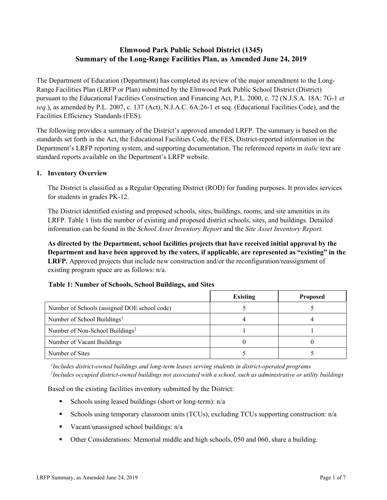# **Elmwood Park Public School District (1345) Summary of the Long-Range Facilities Plan, as Amended June 24, 2019**

The Department of Education (Department) has completed its review of the major amendment to the Long-Range Facilities Plan (LRFP or Plan) submitted by the Elmwood Park Public School District (District) pursuant to the Educational Facilities Construction and Financing Act, P.L. 2000, c. 72 (N.J.S.A. 18A: 7G-1 *et seq.*), as amended by P.L. 2007, c. 137 (Act), N.J.A.C. 6A:26-1 et seq. (Educational Facilities Code), and the Facilities Efficiency Standards (FES).

The following provides a summary of the District's approved amended LRFP. The summary is based on the standards set forth in the Act, the Educational Facilities Code, the FES, District-reported information in the Department's LRFP reporting system, and supporting documentation. The referenced reports in *italic* text are standard reports available on the Department's LRFP website.

### **1. Inventory Overview**

The District is classified as a Regular Operating District (ROD) for funding purposes. It provides services for students in grades PK-12.

The District identified existing and proposed schools, sites, buildings, rooms, and site amenities in its LRFP. Table 1 lists the number of existing and proposed district schools, sites, and buildings. Detailed information can be found in the *School Asset Inventory Report* and the *Site Asset Inventory Report.*

**As directed by the Department, school facilities projects that have received initial approval by the Department and have been approved by the voters, if applicable, are represented as "existing" in the LRFP.** Approved projects that include new construction and/or the reconfiguration/reassignment of existing program space are as follows: n/a.

#### **Table 1: Number of Schools, School Buildings, and Sites**

|                                              | <b>Existing</b> | <b>Proposed</b> |
|----------------------------------------------|-----------------|-----------------|
| Number of Schools (assigned DOE school code) |                 |                 |
| Number of School Buildings <sup>1</sup>      |                 |                 |
| Number of Non-School Buildings <sup>2</sup>  |                 |                 |
| Number of Vacant Buildings                   |                 |                 |
| Number of Sites                              |                 |                 |

*1 Includes district-owned buildings and long-term leases serving students in district-operated programs 2 Includes occupied district-owned buildings not associated with a school, such as administrative or utility buildings*

Based on the existing facilities inventory submitted by the District:

- Schools using leased buildings (short or long-term):  $n/a$
- Schools using temporary classroom units (TCUs), excluding TCUs supporting construction: n/a
- Vacant/unassigned school buildings:  $n/a$
- Other Considerations: Memorial middle and high schools, 050 and 060, share a building.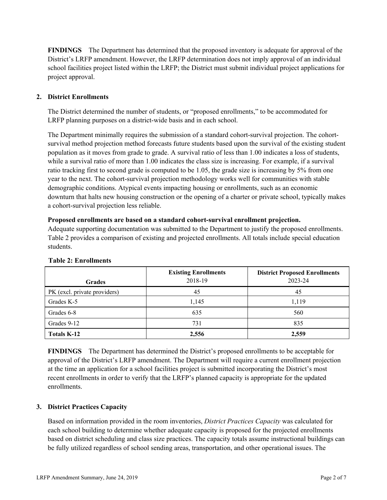**FINDINGS** The Department has determined that the proposed inventory is adequate for approval of the District's LRFP amendment. However, the LRFP determination does not imply approval of an individual school facilities project listed within the LRFP; the District must submit individual project applications for project approval.

# **2. District Enrollments**

The District determined the number of students, or "proposed enrollments," to be accommodated for LRFP planning purposes on a district-wide basis and in each school.

The Department minimally requires the submission of a standard cohort-survival projection. The cohortsurvival method projection method forecasts future students based upon the survival of the existing student population as it moves from grade to grade. A survival ratio of less than 1.00 indicates a loss of students, while a survival ratio of more than 1.00 indicates the class size is increasing. For example, if a survival ratio tracking first to second grade is computed to be 1.05, the grade size is increasing by 5% from one year to the next. The cohort-survival projection methodology works well for communities with stable demographic conditions. Atypical events impacting housing or enrollments, such as an economic downturn that halts new housing construction or the opening of a charter or private school, typically makes a cohort-survival projection less reliable.

#### **Proposed enrollments are based on a standard cohort-survival enrollment projection.**

Adequate supporting documentation was submitted to the Department to justify the proposed enrollments. Table 2 provides a comparison of existing and projected enrollments. All totals include special education students.

| <b>Grades</b>                | <b>Existing Enrollments</b><br>2018-19 | <b>District Proposed Enrollments</b><br>2023-24 |
|------------------------------|----------------------------------------|-------------------------------------------------|
| PK (excl. private providers) | 45                                     | 45                                              |
| Grades K-5                   | 1,145                                  | 1,119                                           |
| Grades 6-8                   | 635                                    | 560                                             |
| Grades 9-12                  | 731                                    | 835                                             |
| Totals K-12                  | 2,556                                  | 2,559                                           |

#### **Table 2: Enrollments**

**FINDINGS** The Department has determined the District's proposed enrollments to be acceptable for approval of the District's LRFP amendment. The Department will require a current enrollment projection at the time an application for a school facilities project is submitted incorporating the District's most recent enrollments in order to verify that the LRFP's planned capacity is appropriate for the updated enrollments.

# **3. District Practices Capacity**

Based on information provided in the room inventories, *District Practices Capacity* was calculated for each school building to determine whether adequate capacity is proposed for the projected enrollments based on district scheduling and class size practices. The capacity totals assume instructional buildings can be fully utilized regardless of school sending areas, transportation, and other operational issues. The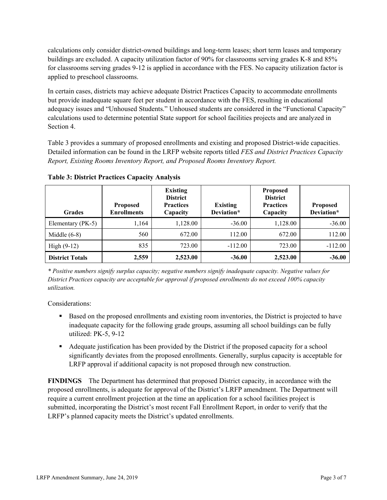calculations only consider district-owned buildings and long-term leases; short term leases and temporary buildings are excluded. A capacity utilization factor of 90% for classrooms serving grades K-8 and 85% for classrooms serving grades 9-12 is applied in accordance with the FES. No capacity utilization factor is applied to preschool classrooms.

In certain cases, districts may achieve adequate District Practices Capacity to accommodate enrollments but provide inadequate square feet per student in accordance with the FES, resulting in educational adequacy issues and "Unhoused Students." Unhoused students are considered in the "Functional Capacity" calculations used to determine potential State support for school facilities projects and are analyzed in Section 4.

Table 3 provides a summary of proposed enrollments and existing and proposed District-wide capacities. Detailed information can be found in the LRFP website reports titled *FES and District Practices Capacity Report, Existing Rooms Inventory Report, and Proposed Rooms Inventory Report.*

| <b>Grades</b>          | <b>Proposed</b><br><b>Enrollments</b> | <b>Existing</b><br><b>District</b><br><b>Practices</b><br>Capacity | <b>Existing</b><br>Deviation* | <b>Proposed</b><br><b>District</b><br><b>Practices</b><br>Capacity | <b>Proposed</b><br>Deviation* |
|------------------------|---------------------------------------|--------------------------------------------------------------------|-------------------------------|--------------------------------------------------------------------|-------------------------------|
| Elementary (PK-5)      | 1,164                                 | 1,128.00                                                           | $-36.00$                      | 1,128.00                                                           | $-36.00$                      |
| Middle $(6-8)$         | 560                                   | 672.00                                                             | 112.00                        | 672.00                                                             | 112.00                        |
| High $(9-12)$          | 835                                   | 723.00                                                             | $-112.00$                     | 723.00                                                             | $-112.00$                     |
| <b>District Totals</b> | 2,559                                 | 2,523.00                                                           | $-36.00$                      | 2,523.00                                                           | $-36.00$                      |

**Table 3: District Practices Capacity Analysis**

*\* Positive numbers signify surplus capacity; negative numbers signify inadequate capacity. Negative values for District Practices capacity are acceptable for approval if proposed enrollments do not exceed 100% capacity utilization.*

Considerations:

- **Based on the proposed enrollments and existing room inventories, the District is projected to have** inadequate capacity for the following grade groups, assuming all school buildings can be fully utilized: PK-5, 9-12
- Adequate justification has been provided by the District if the proposed capacity for a school significantly deviates from the proposed enrollments. Generally, surplus capacity is acceptable for LRFP approval if additional capacity is not proposed through new construction.

**FINDINGS**The Department has determined that proposed District capacity, in accordance with the proposed enrollments, is adequate for approval of the District's LRFP amendment. The Department will require a current enrollment projection at the time an application for a school facilities project is submitted, incorporating the District's most recent Fall Enrollment Report, in order to verify that the LRFP's planned capacity meets the District's updated enrollments.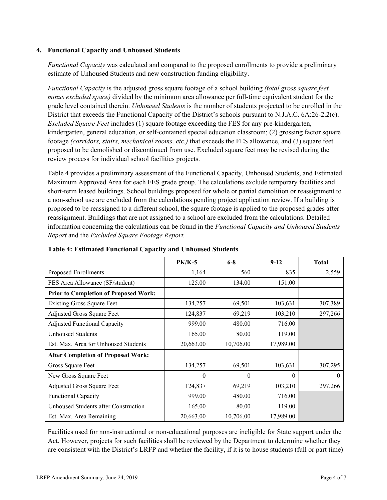### **4. Functional Capacity and Unhoused Students**

*Functional Capacity* was calculated and compared to the proposed enrollments to provide a preliminary estimate of Unhoused Students and new construction funding eligibility.

*Functional Capacity* is the adjusted gross square footage of a school building *(total gross square feet minus excluded space)* divided by the minimum area allowance per full-time equivalent student for the grade level contained therein. *Unhoused Students* is the number of students projected to be enrolled in the District that exceeds the Functional Capacity of the District's schools pursuant to N.J.A.C. 6A:26-2.2(c). *Excluded Square Feet* includes (1) square footage exceeding the FES for any pre-kindergarten, kindergarten, general education, or self-contained special education classroom; (2) grossing factor square footage *(corridors, stairs, mechanical rooms, etc.)* that exceeds the FES allowance, and (3) square feet proposed to be demolished or discontinued from use. Excluded square feet may be revised during the review process for individual school facilities projects.

Table 4 provides a preliminary assessment of the Functional Capacity, Unhoused Students, and Estimated Maximum Approved Area for each FES grade group. The calculations exclude temporary facilities and short-term leased buildings. School buildings proposed for whole or partial demolition or reassignment to a non-school use are excluded from the calculations pending project application review. If a building is proposed to be reassigned to a different school, the square footage is applied to the proposed grades after reassignment. Buildings that are not assigned to a school are excluded from the calculations. Detailed information concerning the calculations can be found in the *Functional Capacity and Unhoused Students Report* and the *Excluded Square Footage Report.*

|                                              | <b>PK/K-5</b> | $6 - 8$   | $9-12$    | <b>Total</b> |
|----------------------------------------------|---------------|-----------|-----------|--------------|
| Proposed Enrollments                         | 1,164         | 560       | 835       | 2,559        |
| FES Area Allowance (SF/student)              | 125.00        | 134.00    | 151.00    |              |
| <b>Prior to Completion of Proposed Work:</b> |               |           |           |              |
| <b>Existing Gross Square Feet</b>            | 134,257       | 69,501    | 103,631   | 307,389      |
| <b>Adjusted Gross Square Feet</b>            | 124,837       | 69,219    | 103,210   | 297,266      |
| <b>Adjusted Functional Capacity</b>          | 999.00        | 480.00    | 716.00    |              |
| <b>Unhoused Students</b>                     | 165.00        | 80.00     | 119.00    |              |
| Est. Max. Area for Unhoused Students         | 20,663.00     | 10,706.00 | 17,989.00 |              |
| <b>After Completion of Proposed Work:</b>    |               |           |           |              |
| Gross Square Feet                            | 134,257       | 69,501    | 103,631   | 307,295      |
| New Gross Square Feet                        | $\Omega$      | 0         | 0         | $\theta$     |
| <b>Adjusted Gross Square Feet</b>            | 124,837       | 69,219    | 103,210   | 297,266      |
| <b>Functional Capacity</b>                   | 999.00        | 480.00    | 716.00    |              |
| Unhoused Students after Construction         | 165.00        | 80.00     | 119.00    |              |
| Est. Max. Area Remaining                     | 20,663.00     | 10,706.00 | 17,989.00 |              |

**Table 4: Estimated Functional Capacity and Unhoused Students** 

Facilities used for non-instructional or non-educational purposes are ineligible for State support under the Act. However, projects for such facilities shall be reviewed by the Department to determine whether they are consistent with the District's LRFP and whether the facility, if it is to house students (full or part time)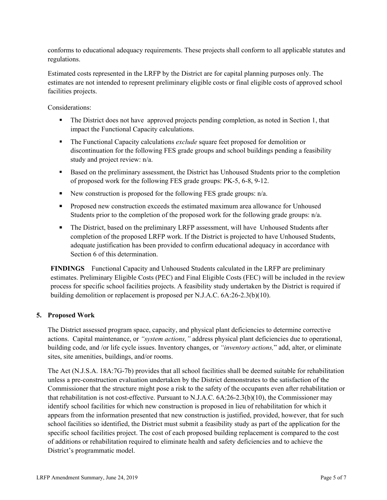conforms to educational adequacy requirements. These projects shall conform to all applicable statutes and regulations.

Estimated costs represented in the LRFP by the District are for capital planning purposes only. The estimates are not intended to represent preliminary eligible costs or final eligible costs of approved school facilities projects.

Considerations:

- The District does not have approved projects pending completion, as noted in Section 1, that impact the Functional Capacity calculations.
- **The Functional Capacity calculations** *exclude* square feet proposed for demolition or discontinuation for the following FES grade groups and school buildings pending a feasibility study and project review: n/a.
- Based on the preliminary assessment, the District has Unhoused Students prior to the completion of proposed work for the following FES grade groups: PK-5, 6-8, 9-12.
- New construction is proposed for the following FES grade groups:  $n/a$ .
- **Proposed new construction exceeds the estimated maximum area allowance for Unhoused** Students prior to the completion of the proposed work for the following grade groups: n/a.
- The District, based on the preliminary LRFP assessment, will have Unhoused Students after completion of the proposed LRFP work. If the District is projected to have Unhoused Students, adequate justification has been provided to confirm educational adequacy in accordance with Section 6 of this determination.

**FINDINGS** Functional Capacity and Unhoused Students calculated in the LRFP are preliminary estimates. Preliminary Eligible Costs (PEC) and Final Eligible Costs (FEC) will be included in the review process for specific school facilities projects. A feasibility study undertaken by the District is required if building demolition or replacement is proposed per N.J.A.C. 6A:26-2.3(b)(10).

# **5. Proposed Work**

The District assessed program space, capacity, and physical plant deficiencies to determine corrective actions. Capital maintenance, or *"system actions,"* address physical plant deficiencies due to operational, building code, and /or life cycle issues. Inventory changes, or *"inventory actions,*" add, alter, or eliminate sites, site amenities, buildings, and/or rooms.

The Act (N.J.S.A. 18A:7G-7b) provides that all school facilities shall be deemed suitable for rehabilitation unless a pre-construction evaluation undertaken by the District demonstrates to the satisfaction of the Commissioner that the structure might pose a risk to the safety of the occupants even after rehabilitation or that rehabilitation is not cost-effective. Pursuant to N.J.A.C. 6A:26-2.3(b)(10), the Commissioner may identify school facilities for which new construction is proposed in lieu of rehabilitation for which it appears from the information presented that new construction is justified, provided, however, that for such school facilities so identified, the District must submit a feasibility study as part of the application for the specific school facilities project. The cost of each proposed building replacement is compared to the cost of additions or rehabilitation required to eliminate health and safety deficiencies and to achieve the District's programmatic model.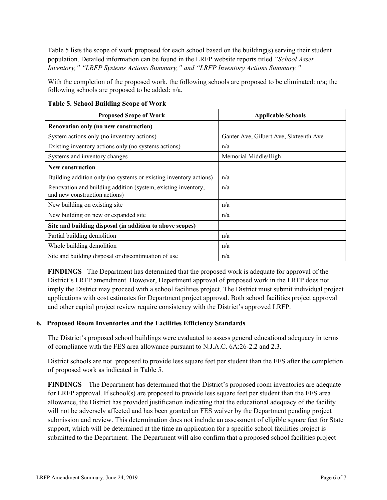Table 5 lists the scope of work proposed for each school based on the building(s) serving their student population. Detailed information can be found in the LRFP website reports titled *"School Asset Inventory," "LRFP Systems Actions Summary," and "LRFP Inventory Actions Summary."*

With the completion of the proposed work, the following schools are proposed to be eliminated: n/a; the following schools are proposed to be added: n/a.

| <b>Proposed Scope of Work</b>                                                                  | <b>Applicable Schools</b>              |
|------------------------------------------------------------------------------------------------|----------------------------------------|
| Renovation only (no new construction)                                                          |                                        |
| System actions only (no inventory actions)                                                     | Ganter Ave, Gilbert Ave, Sixteenth Ave |
| Existing inventory actions only (no systems actions)                                           | n/a                                    |
| Systems and inventory changes                                                                  | Memorial Middle/High                   |
| <b>New construction</b>                                                                        |                                        |
| Building addition only (no systems or existing inventory actions)                              | n/a                                    |
| Renovation and building addition (system, existing inventory,<br>and new construction actions) | n/a                                    |
| New building on existing site                                                                  | n/a                                    |
| New building on new or expanded site                                                           | n/a                                    |
| Site and building disposal (in addition to above scopes)                                       |                                        |
| Partial building demolition                                                                    | n/a                                    |
| Whole building demolition                                                                      | n/a                                    |
| Site and building disposal or discontinuation of use                                           | n/a                                    |

**Table 5. School Building Scope of Work**

**FINDINGS** The Department has determined that the proposed work is adequate for approval of the District's LRFP amendment. However, Department approval of proposed work in the LRFP does not imply the District may proceed with a school facilities project. The District must submit individual project applications with cost estimates for Department project approval. Both school facilities project approval and other capital project review require consistency with the District's approved LRFP.

#### **6. Proposed Room Inventories and the Facilities Efficiency Standards**

The District's proposed school buildings were evaluated to assess general educational adequacy in terms of compliance with the FES area allowance pursuant to N.J.A.C. 6A:26-2.2 and 2.3.

District schools are not proposed to provide less square feet per student than the FES after the completion of proposed work as indicated in Table 5.

**FINDINGS** The Department has determined that the District's proposed room inventories are adequate for LRFP approval. If school(s) are proposed to provide less square feet per student than the FES area allowance, the District has provided justification indicating that the educational adequacy of the facility will not be adversely affected and has been granted an FES waiver by the Department pending project submission and review. This determination does not include an assessment of eligible square feet for State support, which will be determined at the time an application for a specific school facilities project is submitted to the Department. The Department will also confirm that a proposed school facilities project